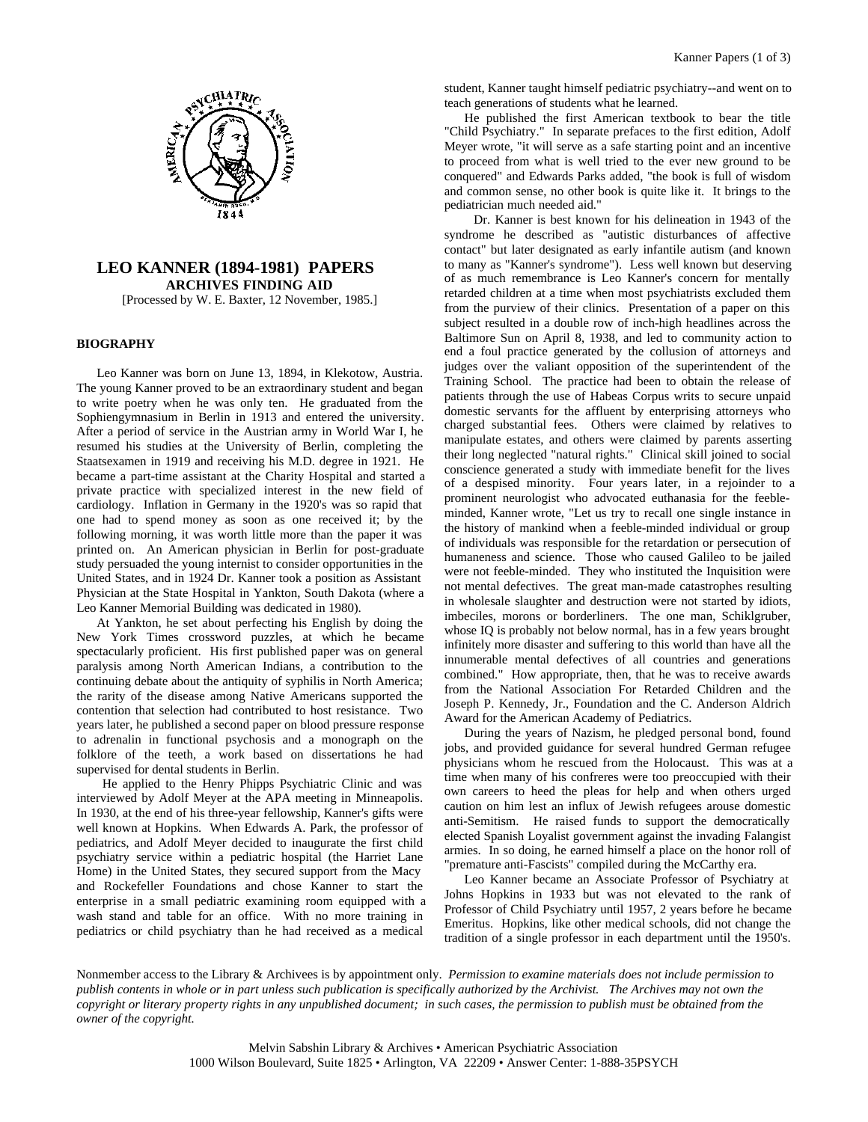

# **LEO KANNER (1894-1981) PAPERS ARCHIVES FINDING AID** [Processed by W. E. Baxter, 12 November, 1985.]

## **BIOGRAPHY**

Leo Kanner was born on June 13, 1894, in Klekotow, Austria. The young Kanner proved to be an extraordinary student and began to write poetry when he was only ten. He graduated from the Sophiengymnasium in Berlin in 1913 and entered the university. After a period of service in the Austrian army in World War I, he resumed his studies at the University of Berlin, completing the Staatsexamen in 1919 and receiving his M.D. degree in 1921. He became a part-time assistant at the Charity Hospital and started a private practice with specialized interest in the new field of cardiology. Inflation in Germany in the 1920's was so rapid that one had to spend money as soon as one received it; by the following morning, it was worth little more than the paper it was printed on. An American physician in Berlin for post-graduate study persuaded the young internist to consider opportunities in the United States, and in 1924 Dr. Kanner took a position as Assistant Physician at the State Hospital in Yankton, South Dakota (where a Leo Kanner Memorial Building was dedicated in 1980).

At Yankton, he set about perfecting his English by doing the New York Times crossword puzzles, at which he became spectacularly proficient. His first published paper was on general paralysis among North American Indians, a contribution to the continuing debate about the antiquity of syphilis in North America; the rarity of the disease among Native Americans supported the contention that selection had contributed to host resistance. Two years later, he published a second paper on blood pressure response to adrenalin in functional psychosis and a monograph on the folklore of the teeth, a work based on dissertations he had supervised for dental students in Berlin.

 He applied to the Henry Phipps Psychiatric Clinic and was interviewed by Adolf Meyer at the APA meeting in Minneapolis. In 1930, at the end of his three-year fellowship, Kanner's gifts were well known at Hopkins. When Edwards A. Park, the professor of pediatrics, and Adolf Meyer decided to inaugurate the first child psychiatry service within a pediatric hospital (the Harriet Lane Home) in the United States, they secured support from the Macy and Rockefeller Foundations and chose Kanner to start the enterprise in a small pediatric examining room equipped with a wash stand and table for an office. With no more training in pediatrics or child psychiatry than he had received as a medical

student, Kanner taught himself pediatric psychiatry--and went on to teach generations of students what he learned.

He published the first American textbook to bear the title "Child Psychiatry." In separate prefaces to the first edition, Adolf Meyer wrote, "it will serve as a safe starting point and an incentive to proceed from what is well tried to the ever new ground to be conquered" and Edwards Parks added, "the book is full of wisdom and common sense, no other book is quite like it. It brings to the pediatrician much needed aid."

 Dr. Kanner is best known for his delineation in 1943 of the syndrome he described as "autistic disturbances of affective contact" but later designated as early infantile autism (and known to many as "Kanner's syndrome"). Less well known but deserving of as much remembrance is Leo Kanner's concern for mentally retarded children at a time when most psychiatrists excluded them from the purview of their clinics. Presentation of a paper on this subject resulted in a double row of inch-high headlines across the Baltimore Sun on April 8, 1938, and led to community action to end a foul practice generated by the collusion of attorneys and judges over the valiant opposition of the superintendent of the Training School. The practice had been to obtain the release of patients through the use of Habeas Corpus writs to secure unpaid domestic servants for the affluent by enterprising attorneys who charged substantial fees. Others were claimed by relatives to manipulate estates, and others were claimed by parents asserting their long neglected "natural rights." Clinical skill joined to social conscience generated a study with immediate benefit for the lives of a despised minority. Four years later, in a rejoinder to a prominent neurologist who advocated euthanasia for the feebleminded, Kanner wrote, "Let us try to recall one single instance in the history of mankind when a feeble-minded individual or group of individuals was responsible for the retardation or persecution of humaneness and science. Those who caused Galileo to be jailed were not feeble-minded. They who instituted the Inquisition were not mental defectives. The great man-made catastrophes resulting in wholesale slaughter and destruction were not started by idiots, imbeciles, morons or borderliners. The one man, Schiklgruber, whose IQ is probably not below normal, has in a few years brought infinitely more disaster and suffering to this world than have all the innumerable mental defectives of all countries and generations combined." How appropriate, then, that he was to receive awards from the National Association For Retarded Children and the Joseph P. Kennedy, Jr., Foundation and the C. Anderson Aldrich Award for the American Academy of Pediatrics.

During the years of Nazism, he pledged personal bond, found jobs, and provided guidance for several hundred German refugee physicians whom he rescued from the Holocaust. This was at a time when many of his confreres were too preoccupied with their own careers to heed the pleas for help and when others urged caution on him lest an influx of Jewish refugees arouse domestic anti-Semitism. He raised funds to support the democratically elected Spanish Loyalist government against the invading Falangist armies. In so doing, he earned himself a place on the honor roll of "premature anti-Fascists" compiled during the McCarthy era.

Leo Kanner became an Associate Professor of Psychiatry at Johns Hopkins in 1933 but was not elevated to the rank of Professor of Child Psychiatry until 1957, 2 years before he became Emeritus. Hopkins, like other medical schools, did not change the tradition of a single professor in each department until the 1950's.

Nonmember access to the Library & Archivees is by appointment only. *Permission to examine materials does not include permission to publish contents in whole or in part unless such publication is specifically authorized by the Archivist. The Archives may not own the copyright or literary property rights in any unpublished document; in such cases, the permission to publish must be obtained from the owner of the copyright.*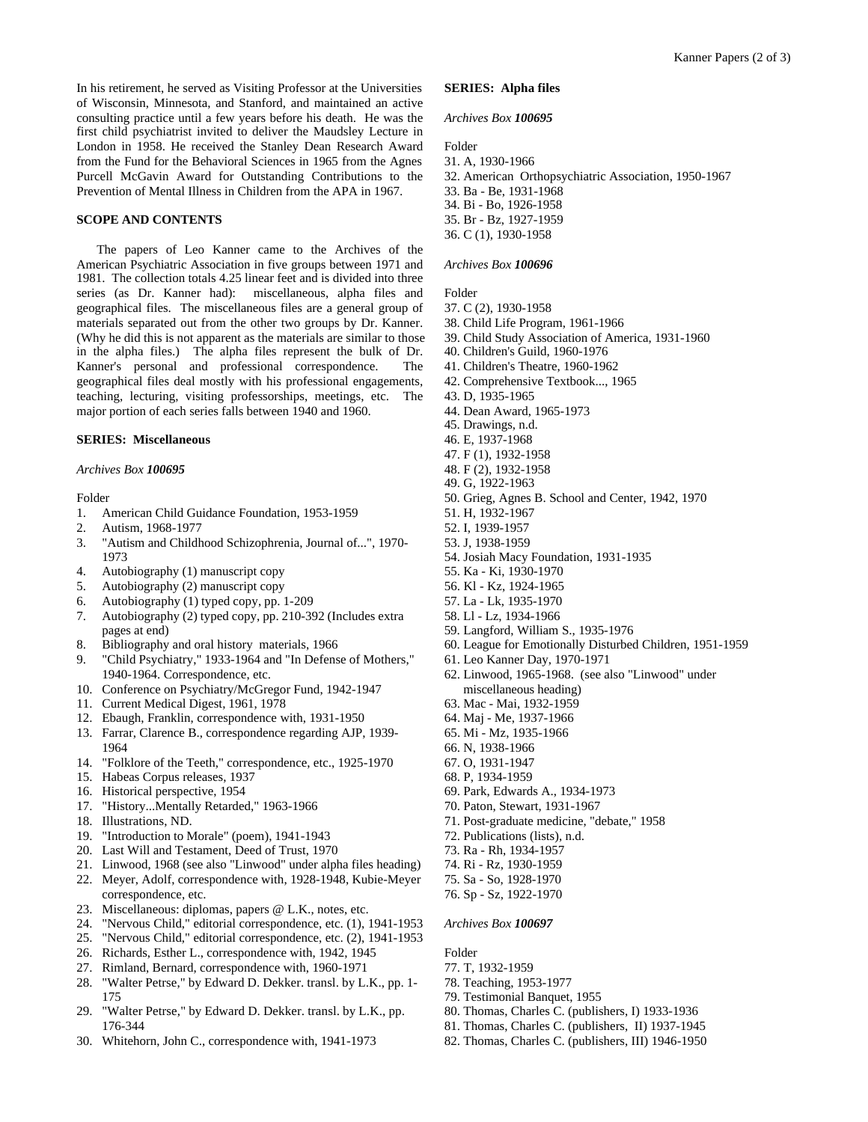In his retirement, he served as Visiting Professor at the Universities of Wisconsin, Minnesota, and Stanford, and maintained an active consulting practice until a few years before his death. He was the first child psychiatrist invited to deliver the Maudsley Lecture in London in 1958. He received the Stanley Dean Research Award from the Fund for the Behavioral Sciences in 1965 from the Agnes Purcell McGavin Award for Outstanding Contributions to the Prevention of Mental Illness in Children from the APA in 1967.

### **SCOPE AND CONTENTS**

The papers of Leo Kanner came to the Archives of the American Psychiatric Association in five groups between 1971 and 1981. The collection totals 4.25 linear feet and is divided into three series (as Dr. Kanner had): miscellaneous, alpha files and geographical files. The miscellaneous files are a general group of materials separated out from the other two groups by Dr. Kanner. (Why he did this is not apparent as the materials are similar to those in the alpha files.) The alpha files represent the bulk of Dr. Kanner's personal and professional correspondence. The geographical files deal mostly with his professional engagements, teaching, lecturing, visiting professorships, meetings, etc. The major portion of each series falls between 1940 and 1960.

### **SERIES: Miscellaneous**

#### *Archives Box 100695*

Folder

- 1. American Child Guidance Foundation, 1953-1959
- 2. Autism, 1968-1977
- 3. "Autism and Childhood Schizophrenia, Journal of...", 1970- 1973
- 4. Autobiography (1) manuscript copy
- 5. Autobiography (2) manuscript copy
- 6. Autobiography (1) typed copy, pp. 1-209
- 7. Autobiography (2) typed copy, pp. 210-392 (Includes extra pages at end)
- 8. Bibliography and oral history materials, 1966
- 9. "Child Psychiatry," 1933-1964 and "In Defense of Mothers," 1940-1964. Correspondence, etc.
- 10. Conference on Psychiatry/McGregor Fund, 1942-1947
- 11. Current Medical Digest, 1961, 1978
- 12. Ebaugh, Franklin, correspondence with, 1931-1950
- 13. Farrar, Clarence B., correspondence regarding AJP, 1939- 1964
- 14. "Folklore of the Teeth," correspondence, etc., 1925-1970
- 15. Habeas Corpus releases, 1937
- 16. Historical perspective, 1954
- 17. "History...Mentally Retarded," 1963-1966
- 18. Illustrations, ND.
- 19. "Introduction to Morale" (poem), 1941-1943
- 20. Last Will and Testament, Deed of Trust, 1970
- 21. Linwood, 1968 (see also "Linwood" under alpha files heading)
- 22. Meyer, Adolf, correspondence with, 1928-1948, Kubie-Meyer correspondence, etc.
- 23. Miscellaneous: diplomas, papers @ L.K., notes, etc.
- 24. "Nervous Child," editorial correspondence, etc. (1), 1941-1953
- 25. "Nervous Child," editorial correspondence, etc. (2), 1941-1953
- 26. Richards, Esther L., correspondence with, 1942, 1945
- 27. Rimland, Bernard, correspondence with, 1960-1971
- 28. "Walter Petrse," by Edward D. Dekker. transl. by L.K., pp. 1- 175
- 29. "Walter Petrse," by Edward D. Dekker. transl. by L.K., pp. 176-344
- 30. Whitehorn, John C., correspondence with, 1941-1973

## **SERIES: Alpha files**

### *Archives Box 100695*

Folder

31. A, 1930-1966 32. American Orthopsychiatric Association, 1950-1967 33. Ba - Be, 1931-1968 34. Bi - Bo, 1926-1958 35. Br - Bz, 1927-1959 36. C (1), 1930-1958

#### *Archives Box 100696*

Folder

- 37. C (2), 1930-1958
- 38. Child Life Program, 1961-1966
- 39. Child Study Association of America, 1931-1960
- 40. Children's Guild, 1960-1976
- 41. Children's Theatre, 1960-1962
- 42. Comprehensive Textbook..., 1965
- 43. D, 1935-1965
- 44. Dean Award, 1965-1973
- 45. Drawings, n.d.
- 46. E, 1937-1968
- 47. F (1), 1932-1958
- 48. F (2), 1932-1958
- 49. G, 1922-1963
- 50. Grieg, Agnes B. School and Center, 1942, 1970
- 51. H, 1932-1967
- 52. I, 1939-1957
- 53. J, 1938-1959
- 54. Josiah Macy Foundation, 1931-1935
- 55. Ka Ki, 1930-1970
- 56. Kl Kz, 1924-1965
- 57. La Lk, 1935-1970
- 58. Ll Lz, 1934-1966
- 59. Langford, William S., 1935-1976
- 60. League for Emotionally Disturbed Children, 1951-1959
- 61. Leo Kanner Day, 1970-1971
- 62. Linwood, 1965-1968. (see also "Linwood" under miscellaneous heading)
- 63. Mac Mai, 1932-1959
- 64. Maj Me, 1937-1966
- 65. Mi Mz, 1935-1966
- 66. N, 1938-1966
- 67. O, 1931-1947
- 68. P, 1934-1959
- 69. Park, Edwards A., 1934-1973
- 70. Paton, Stewart, 1931-1967
- 71. Post-graduate medicine, "debate," 1958
- 72. Publications (lists), n.d.
- 73. Ra Rh, 1934-1957
- 74. Ri Rz, 1930-1959
- 75. Sa So, 1928-1970
- 76. Sp Sz, 1922-1970

### *Archives Box 100697*

Folder

- 77. T, 1932-1959
- 78. Teaching, 1953-1977
- 79. Testimonial Banquet, 1955
- 80. Thomas, Charles C. (publishers, I) 1933-1936
- 81. Thomas, Charles C. (publishers, II) 1937-1945
- 82. Thomas, Charles C. (publishers, III) 1946-1950